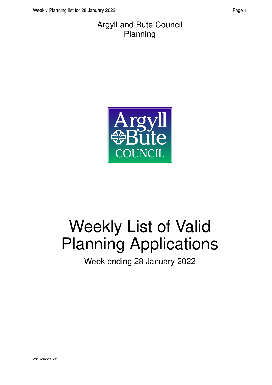#### Argyll and Bute Council Planning



# Weekly List of Valid Planning Applications

Week ending 28 January 2022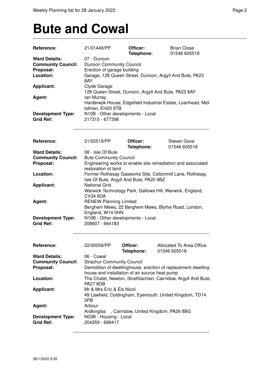## **Bute and Cowal**

| Reference:                | 21/01449/PP                                                                                                      | Officer:<br>Telephone:            | <b>Brian Close</b><br>01546 605518                            |
|---------------------------|------------------------------------------------------------------------------------------------------------------|-----------------------------------|---------------------------------------------------------------|
| <b>Ward Details:</b>      | 07 - Dunoon                                                                                                      |                                   |                                                               |
| <b>Community Council:</b> | Dunoon Community Council                                                                                         |                                   |                                                               |
| Proposal:                 | Erection of garage building                                                                                      |                                   |                                                               |
| Location:                 |                                                                                                                  |                                   | Garage, 128 Queen Street, Dunoon, Argyll And Bute, PA23       |
|                           | 8AY                                                                                                              |                                   |                                                               |
| <b>Applicant:</b>         | Clyde Garage                                                                                                     |                                   |                                                               |
|                           |                                                                                                                  |                                   | 128 Queen Street, Dunoon, Argyll And Bute, PA23 8AY           |
| Agent:                    | lan Murray                                                                                                       |                                   |                                                               |
|                           |                                                                                                                  |                                   | Harderwjik House, Edgefield Industrial Estate, Loanhead, Mid- |
|                           | lothian, EH20 9TB                                                                                                |                                   |                                                               |
| <b>Development Type:</b>  |                                                                                                                  | N10B - Other developments - Local |                                                               |
| <b>Grid Ref:</b>          | 217315 - 677398                                                                                                  |                                   |                                                               |
|                           |                                                                                                                  |                                   |                                                               |
| Reference:                | 21/02519/PP                                                                                                      | Officer:                          | <b>Steven Gove</b>                                            |
|                           |                                                                                                                  | Telephone:                        | 01546 605518                                                  |
| <b>Ward Details:</b>      | 08 - Isle Of Bute                                                                                                |                                   |                                                               |
| <b>Community Council:</b> | <b>Bute Community Council</b>                                                                                    |                                   |                                                               |
| Proposal:                 |                                                                                                                  |                                   | Engineering works to enable site remediation and associated   |
|                           | restoration of land                                                                                              |                                   |                                                               |
| Location:                 | Former Rothesay Gasworks Site, Cottonmill Lane, Rothesay,                                                        |                                   |                                                               |
|                           | Isle Of Bute, Argyll And Bute, PA20 9BZ                                                                          |                                   |                                                               |
| <b>Applicant:</b>         | <b>National Grid</b>                                                                                             |                                   |                                                               |
|                           | Warwick Technology Park, Gallows Hill, Warwick, England,                                                         |                                   |                                                               |
|                           | <b>CV34 6DA</b>                                                                                                  |                                   |                                                               |
| Agent:                    | <b>RENEW Planning Limited</b>                                                                                    |                                   |                                                               |
|                           |                                                                                                                  |                                   | Berghem Mews, 22 Berghem Mews, Blythe Road, London,           |
|                           | England, W14 0HN                                                                                                 |                                   |                                                               |
| <b>Development Type:</b>  |                                                                                                                  | N10B - Other developments - Local |                                                               |
| <b>Grid Ref:</b>          | 208607 - 664183                                                                                                  |                                   |                                                               |
|                           |                                                                                                                  |                                   |                                                               |
|                           |                                                                                                                  |                                   |                                                               |
| Reference:                | 22/00059/PP                                                                                                      | Officer:<br>Telephone:            | Allocated To Area Office<br>01546 605518                      |
| <b>Ward Details:</b>      | 06 - Cowal                                                                                                       |                                   |                                                               |
| <b>Community Council:</b> | <b>Strachur Community Council</b>                                                                                |                                   |                                                               |
| Proposal:                 |                                                                                                                  |                                   |                                                               |
|                           | Demolition of dwellinghouse, erection of replacement dwelling-<br>house and installation of air source heat pump |                                   |                                                               |
| Location:                 |                                                                                                                  |                                   |                                                               |
|                           |                                                                                                                  |                                   | The Chalet, Newton, Strathlachlan, Cairndow, Argyll And Bute, |
|                           | <b>PA27 8DB</b>                                                                                                  |                                   |                                                               |
| <b>Applicant:</b>         | Mr & Mrs Eric & Els Nicol                                                                                        |                                   |                                                               |
|                           |                                                                                                                  |                                   | 49 Lawfield, Coldingham, Eyemouth, United Kingdom, TD14       |
|                           | 5PB                                                                                                              |                                   |                                                               |
| Agent:                    | Arbour                                                                                                           |                                   |                                                               |
|                           | Ardkinglas                                                                                                       |                                   | , Cairndow, United Kingdom, PA26 8BG                          |
| <b>Development Type:</b>  | N03B - Housing - Local                                                                                           |                                   |                                                               |
| <b>Grid Ref:</b>          | 204359 - 698417                                                                                                  |                                   |                                                               |
|                           |                                                                                                                  |                                   |                                                               |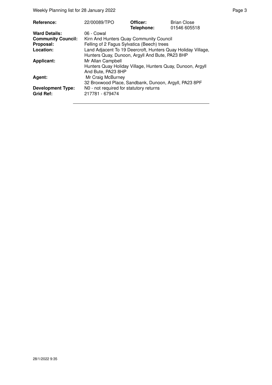Weekly Planning list for 28 January 2022 **Page 3** Page 3

| <b>Reference:</b>         | 22/00089/TPO                                                 | Officer:<br>Telephone: | <b>Brian Close</b><br>01546 605518 |
|---------------------------|--------------------------------------------------------------|------------------------|------------------------------------|
| <b>Ward Details:</b>      | 06 - Cowal                                                   |                        |                                    |
| <b>Community Council:</b> | Kirn And Hunters Quay Community Council                      |                        |                                    |
| Proposal:                 | Felling of 2 Fagus Sylvatica (Beech) trees                   |                        |                                    |
| Location:                 | Land Adjacent To 19 Deercroft, Hunters Quay Holiday Village, |                        |                                    |
|                           | Hunters Quay, Dunoon, Argyll And Bute, PA23 8HP              |                        |                                    |
| <b>Applicant:</b>         | Mr Allan Campbell                                            |                        |                                    |
|                           | Hunters Quay Holiday Village, Hunters Quay, Dunoon, Argyll   |                        |                                    |
|                           | And Bute, PA23 8HP                                           |                        |                                    |
| Agent:                    | Mr Craig McBurney                                            |                        |                                    |
|                           | 32 Broxwood Place, Sandbank, Dunoon, Argyll, PA23 8PF        |                        |                                    |
| <b>Development Type:</b>  | N0 - not required for statutory returns                      |                        |                                    |
| <b>Grid Ref:</b>          | 217781 - 679474                                              |                        |                                    |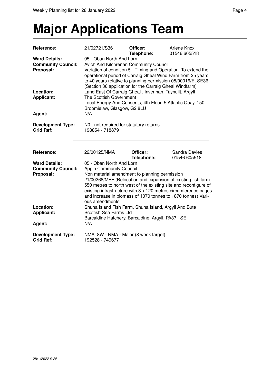# **Major Applications Team**

| Reference:                                                     | 21/02721/S36                                                                                                                                                                                                                                                                                                                                                                                          | Officer:<br>Telephone: | Arlene Knox<br>01546 605518          |
|----------------------------------------------------------------|-------------------------------------------------------------------------------------------------------------------------------------------------------------------------------------------------------------------------------------------------------------------------------------------------------------------------------------------------------------------------------------------------------|------------------------|--------------------------------------|
| <b>Ward Details:</b><br><b>Community Council:</b><br>Proposal: | 05 - Oban North And Lorn<br>Avich And Kilchrenan Community Council<br>Variation of condition 5 - Timing and Operation. To extend the<br>operational period of Carraig Gheal Wind Farm from 25 years<br>to 40 years relative to planning permission 05/00016/ELSE36<br>(Section 36 application for the Carraig Gheal Windfarm)                                                                         |                        |                                      |
| Location:<br><b>Applicant:</b><br>Agent:                       | Land East Of Carraig Gheal, Inverinan, Taynuilt, Argyll<br>The Scottish Government<br>Local Energy And Consents, 4th Floor, 5 Atlantic Quay, 150<br>Broomielaw, Glasgow, G2 8LU<br>N/A                                                                                                                                                                                                                |                        |                                      |
| <b>Development Type:</b><br><b>Grid Ref:</b>                   | N0 - not required for statutory returns<br>198854 - 718879                                                                                                                                                                                                                                                                                                                                            |                        |                                      |
| Reference:                                                     | 22/00125/NMA                                                                                                                                                                                                                                                                                                                                                                                          | Officer:<br>Telephone: | <b>Sandra Davies</b><br>01546 605518 |
| <b>Ward Details:</b><br><b>Community Council:</b><br>Proposal: | 05 - Oban North And Lorn<br><b>Appin Community Council</b><br>Non material amendment to planning permission<br>21/00268/MFF (Relocation and expansion of existing fish farm<br>550 metres to north west of the existing site and reconfigure of<br>existing infrastructure with 8 x 120 metres circumference cages<br>and increase in biomass of 1070 tonnes to 1870 tonnes) Vari-<br>ous amendments. |                        |                                      |
| Location:<br><b>Applicant:</b><br>Agent:                       | Shuna Island Fish Farm, Shuna Island, Argyll And Bute<br>Scottish Sea Farms Ltd<br>Barcaldine Hatchery, Barcaldine, Argyll, PA37 1SE<br>N/A                                                                                                                                                                                                                                                           |                        |                                      |
| <b>Development Type:</b><br><b>Grid Ref:</b>                   | NMA 8W - NMA - Major (8 week target)<br>192528 - 749677                                                                                                                                                                                                                                                                                                                                               |                        |                                      |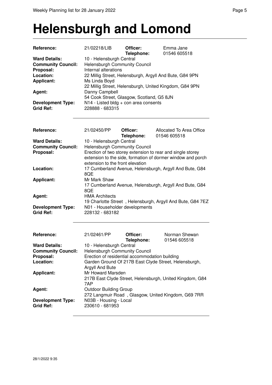### **Helensburgh and Lomond**

| Reference:                | 21/02218/LIB                                   | Officer:   | Emma Jane                                                   |
|---------------------------|------------------------------------------------|------------|-------------------------------------------------------------|
| <b>Ward Details:</b>      |                                                | Telephone: | 01546 605518                                                |
|                           | 10 - Helensburgh Central                       |            |                                                             |
| <b>Community Council:</b> | <b>Helensburgh Community Council</b>           |            |                                                             |
| Proposal:                 | Internal alterations                           |            |                                                             |
| Location:                 |                                                |            | 22 Millig Street, Helensburgh, Argyll And Bute, G84 9PN     |
| <b>Applicant:</b>         | Ms Linda Boyd                                  |            |                                                             |
|                           |                                                |            | 22 Millig Street, Helensburgh, United Kingdom, G84 9PN      |
| Agent:                    | Danny Campbell                                 |            |                                                             |
|                           | 54 Cook Street, Glasgow, Scotland, G5 8JN      |            |                                                             |
| <b>Development Type:</b>  | N14 - Listed bldg + con area consents          |            |                                                             |
| <b>Grid Ref:</b>          | 228888 - 683315                                |            |                                                             |
|                           |                                                |            |                                                             |
|                           |                                                |            |                                                             |
| Reference:                | 21/02450/PP                                    | Officer:   | Allocated To Area Office                                    |
|                           |                                                | Telephone: | 01546 605518                                                |
| <b>Ward Details:</b>      | 10 - Helensburgh Central                       |            |                                                             |
| <b>Community Council:</b> | <b>Helensburgh Community Council</b>           |            |                                                             |
| Proposal:                 |                                                |            | Erection of two storey extension to rear and single storey  |
|                           |                                                |            | extension to the side, formation of dormer window and porch |
|                           | extension to the front elevation               |            |                                                             |
| Location:                 |                                                |            | 17 Cumberland Avenue, Helensburgh, Argyll And Bute, G84     |
|                           | 8QE                                            |            |                                                             |
| <b>Applicant:</b>         | Mr Mark Shaw                                   |            |                                                             |
|                           |                                                |            | 17 Cumberland Avenue, Helensburgh, Argyll And Bute, G84     |
|                           | 8QE                                            |            |                                                             |
| Agent:                    | <b>HMA Architects</b>                          |            |                                                             |
|                           |                                                |            | 19 Charlotte Street, Helensburgh, Argyll And Bute, G84 7EZ  |
| <b>Development Type:</b>  | N01 - Householder developments                 |            |                                                             |
| <b>Grid Ref:</b>          | 228132 - 683182                                |            |                                                             |
|                           |                                                |            |                                                             |
|                           |                                                |            |                                                             |
|                           |                                                |            |                                                             |
| Reference:                | 21/02461/PP                                    | Officer:   | Norman Shewan                                               |
|                           |                                                | Telephone: | 01546 605518                                                |
| <b>Ward Details:</b>      | 10 - Helensburgh Central                       |            |                                                             |
| <b>Community Council:</b> | Helensburgh Community Council                  |            |                                                             |
| Proposal:                 | Erection of residential accommodation building |            |                                                             |
| Location:                 |                                                |            | Garden Ground Of 217B East Clyde Street, Helensburgh,       |
|                           | <b>Argyll And Bute</b>                         |            |                                                             |
| <b>Applicant:</b>         | Mr Howard Marsden                              |            |                                                             |
|                           |                                                |            | 217B East Clyde Street, Helensburgh, United Kingdom, G84    |
|                           | 7AP                                            |            |                                                             |
| Agent:                    | <b>Outdoor Building Group</b>                  |            |                                                             |
|                           |                                                |            | 272 Langmuir Road, Glasgow, United Kingdom, G69 7RR         |
| <b>Development Type:</b>  | N03B - Housing - Local                         |            |                                                             |
| <b>Grid Ref:</b>          | 230610 - 681953                                |            |                                                             |
|                           |                                                |            |                                                             |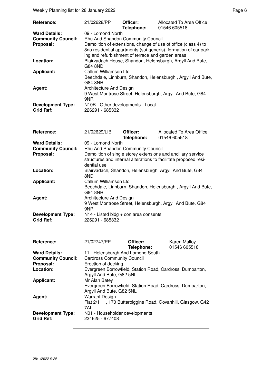Weekly Planning list for 28 January 2022 **Page 6** and the state of the Page 6

| <b>Reference:</b>                            | 21/02628/PP                                          | Officer:<br>Telephone: | Allocated To Area Office<br>01546 605518                                                                                           |
|----------------------------------------------|------------------------------------------------------|------------------------|------------------------------------------------------------------------------------------------------------------------------------|
| <b>Ward Details:</b>                         | 09 - Lomond North                                    |                        |                                                                                                                                    |
| <b>Community Council:</b>                    | Rhu And Shandon Community Council                    |                        |                                                                                                                                    |
| Proposal:                                    | ing and refurbishment of terrace and garden areas    |                        | Demolition of extensions, change of use of office (class 4) to<br>8no residential apartments (sui-generis), formation of car park- |
| Location:                                    | G84 8ND                                              |                        | Blairvadach House, Shandon, Helensburgh, Argyll And Bute,                                                                          |
| <b>Applicant:</b>                            | Callum Williamson Ltd<br>G84 8NR                     |                        | Beechdale, Linnburn, Shandon, Helensburgh, Argyll And Bute,                                                                        |
| Agent:                                       | Architecture And Design<br>9NR                       |                        | 9 West Montrose Street, Helensburgh, Argyll And Bute, G84                                                                          |
| <b>Development Type:</b><br><b>Grid Ref:</b> | N10B - Other developments - Local<br>226291 - 685332 |                        |                                                                                                                                    |

| <b>Reference:</b>                            | 21/02629/LIB                                               | Officer:<br>Telephone: | Allocated To Area Office<br>01546 605518                                                                                         |
|----------------------------------------------|------------------------------------------------------------|------------------------|----------------------------------------------------------------------------------------------------------------------------------|
| <b>Ward Details:</b>                         | 09 - Lomond North                                          |                        |                                                                                                                                  |
| <b>Community Council:</b>                    | Rhu And Shandon Community Council                          |                        |                                                                                                                                  |
| Proposal:                                    | dential use                                                |                        | Demolition of single storey extensions and ancillary service<br>structures and internal alterations to facilitate proposed resi- |
| Location:                                    | 8ND                                                        |                        | Blairvadach, Shandon, Helensburgh, Argyll And Bute, G84                                                                          |
| <b>Applicant:</b>                            | Callum Williamson Ltd<br>G84 8NR                           |                        | Beechdale, Linnburn, Shandon, Helensburgh, Argyll And Bute,                                                                      |
| Agent:                                       | Architecture And Design<br>9NR                             |                        | 9 West Montrose Street, Helensburgh, Argyll And Bute, G84                                                                        |
| <b>Development Type:</b><br><b>Grid Ref:</b> | $N14$ - Listed bldg + con area consents<br>226291 - 685332 |                        |                                                                                                                                  |

| Reference:                | 21/02747/PP                       | Officer:                                                  | <b>Karen Malloy</b> |
|---------------------------|-----------------------------------|-----------------------------------------------------------|---------------------|
|                           |                                   | Telephone:                                                | 01546 605518        |
| <b>Ward Details:</b>      | 11 - Helensburgh And Lomond South |                                                           |                     |
| <b>Community Council:</b> | <b>Cardross Community Council</b> |                                                           |                     |
| Proposal:                 | Erection of decking               |                                                           |                     |
| Location:                 |                                   | Evergreen Borrowfield, Station Road, Cardross, Dumbarton, |                     |
|                           | Argyll And Bute, G82 5NL          |                                                           |                     |
| <b>Applicant:</b>         | Mr Alan Batey                     |                                                           |                     |
|                           |                                   | Evergreen Borrowfield, Station Road, Cardross, Dumbarton, |                     |
|                           | Argyll And Bute, G82 5NL          |                                                           |                     |
| <b>Agent:</b>             | <b>Warrant Design</b>             |                                                           |                     |
|                           |                                   | Flat 2/1, 170 Butterbiggins Road, Govanhill, Glasgow, G42 |                     |
|                           | 7AL                               |                                                           |                     |
| <b>Development Type:</b>  | N01 - Householder developments    |                                                           |                     |
| <b>Grid Ref:</b>          | 234625 - 677408                   |                                                           |                     |
|                           |                                   |                                                           |                     |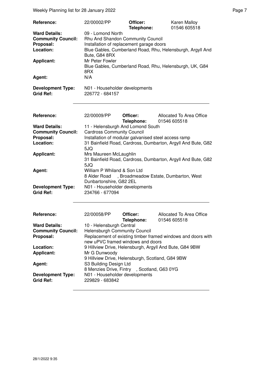Weekly Planning list for 28 January 2022 **Page 7** Neekly Planning list for 28 January 2022

| Reference:<br><b>Ward Details:</b><br><b>Community Council:</b><br>Proposal:<br>Location:<br><b>Applicant:</b><br>Agent:<br><b>Development Type:</b><br><b>Grid Ref:</b> | 22/00002/PP<br>09 - Lomond North<br>Rhu And Shandon Community Council<br>Installation of replacement garage doors<br>Bute, G84 8RX<br>Mr Peter Fowler<br>8RX<br>N/A<br>N01 - Householder developments<br>226772 - 684157 | Officer:<br>Telephone: | Karen Malloy<br>01546 605518<br>Blue Gables, Cumberland Road, Rhu, Helensburgh, Argyll And<br>Blue Gables, Cumberland Road, Rhu, Helensburgh, UK, G84 |  |
|--------------------------------------------------------------------------------------------------------------------------------------------------------------------------|--------------------------------------------------------------------------------------------------------------------------------------------------------------------------------------------------------------------------|------------------------|-------------------------------------------------------------------------------------------------------------------------------------------------------|--|
| Reference:                                                                                                                                                               | 22/00009/PP                                                                                                                                                                                                              | Officer:<br>Telephone: | Allocated To Area Office<br>01546 605518                                                                                                              |  |
| <b>Ward Details:</b><br><b>Community Council:</b><br>Proposal:<br>Location:                                                                                              | 11 - Helensburgh And Lomond South<br><b>Cardross Community Council</b><br>Installation of modular galvanised steel access ramp<br>5JQ                                                                                    |                        | 31 Bainfield Road, Cardross, Dumbarton, Argyll And Bute, G82                                                                                          |  |
| <b>Applicant:</b>                                                                                                                                                        | Mrs Maureen McLaughlin<br>5JQ                                                                                                                                                                                            |                        | 31 Bainfield Road, Cardross, Dumbarton, Argyll And Bute, G82                                                                                          |  |
| Agent:<br><b>Development Type:</b><br><b>Grid Ref:</b>                                                                                                                   | William P Whiland & Son Ltd<br>Dunbartonshire, G82 2EL<br>N01 - Householder developments<br>234766 - 677094                                                                                                              |                        | 8 Alder Road , Broadmeadow Estate, Dumbarton, West                                                                                                    |  |
|                                                                                                                                                                          |                                                                                                                                                                                                                          |                        |                                                                                                                                                       |  |
| Reference:<br><b>Ward Details:</b><br><b>Community Council:</b><br>Proposal:                                                                                             | 22/00058/PP<br>10 - Helensburgh Central<br><b>Helensburgh Community Council</b>                                                                                                                                          | Officer:<br>Telephone: | <b>Allocated To Area Office</b><br>01546 605518<br>Replacement of existing timber framed windows and doors with                                       |  |
| Location:<br><b>Applicant:</b>                                                                                                                                           | new uPVC framed windows and doors<br>9 Hillview Drive, Helensburgh, Argyll And Bute, G84 9BW<br>Mr G Dunwoody<br>9 Hillview Drive, Helensburgh, Scotland, G84 9BW                                                        |                        |                                                                                                                                                       |  |
| Agent:<br><b>Development Type:</b><br><b>Grid Ref:</b>                                                                                                                   | S3 Building Design Ltd<br>8 Menzies Drive, Fintry , Scotland, G63 0YG<br>N01 - Householder developments<br>229829 - 683842                                                                                               |                        |                                                                                                                                                       |  |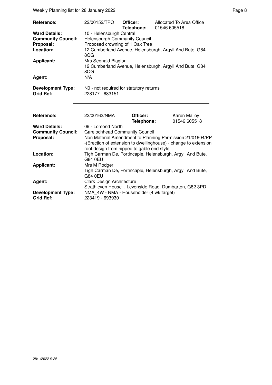Weekly Planning list for 28 January 2022 **Page 8** and 2021

| Reference:                                                                                                 | 22/00152/TPO                                                                                                                                                                                                        | Officer:<br>Telephone: | Allocated To Area Office<br>01546 605518                                                                           |
|------------------------------------------------------------------------------------------------------------|---------------------------------------------------------------------------------------------------------------------------------------------------------------------------------------------------------------------|------------------------|--------------------------------------------------------------------------------------------------------------------|
| <b>Ward Details:</b><br><b>Community Council:</b><br>Proposal:<br>Location:<br><b>Applicant:</b><br>Agent: | 10 - Helensburgh Central<br><b>Helensburgh Community Council</b><br>Proposed crowning of 1 Oak Tree<br>8QG<br>Mrs Seonaid Biagioni<br>8QG<br>N/A                                                                    |                        | 12 Cumberland Avenue, Helensburgh, Argyll And Bute, G84<br>12 Cumberland Avenue, Helensburgh, Argyll And Bute, G84 |
| <b>Development Type:</b><br><b>Grid Ref:</b>                                                               | N0 - not required for statutory returns<br>228177 - 683151                                                                                                                                                          |                        |                                                                                                                    |
|                                                                                                            |                                                                                                                                                                                                                     |                        |                                                                                                                    |
| Reference:                                                                                                 | 22/00163/NMA                                                                                                                                                                                                        | Officer:<br>Telephone: | <b>Karen Malloy</b><br>01546 605518                                                                                |
| <b>Ward Details:</b>                                                                                       | 09 - Lomond North                                                                                                                                                                                                   |                        |                                                                                                                    |
| <b>Community Council:</b><br>Proposal:                                                                     | <b>Garelochhead Community Council</b><br>Non Material Amendment to Planning Permission 21/01604/PP<br>-(Erection of extension to dwellinghouse) - change to extension<br>roof design from hipped to gable end style |                        |                                                                                                                    |
| Location:                                                                                                  | Tigh Carman De, Portincaple, Helensburgh, Argyll And Bute,<br>G84 0EU                                                                                                                                               |                        |                                                                                                                    |
| <b>Applicant:</b>                                                                                          | Mrs M Rodger                                                                                                                                                                                                        |                        | Tigh Carman De, Portincaple, Helensburgh, Argyll And Bute,                                                         |
|                                                                                                            | G84 0EU                                                                                                                                                                                                             |                        |                                                                                                                    |
| Agent:                                                                                                     | <b>Clark Design Architecture</b>                                                                                                                                                                                    |                        | Strathleven House, Levenside Road, Dumbarton, G82 3PD                                                              |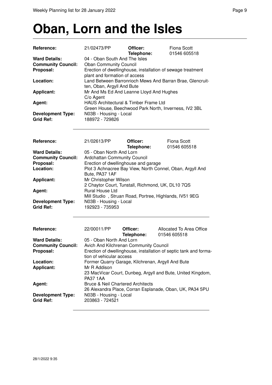### **Oban, Lorn and the Isles**

| <b>Reference:</b>                               | 21/02473/PP                                                                                                 | Officer:<br>Telephone:                   | Fiona Scott<br>01546 605518                                 |  |
|-------------------------------------------------|-------------------------------------------------------------------------------------------------------------|------------------------------------------|-------------------------------------------------------------|--|
| <b>Ward Details:</b>                            | 04 - Oban South And The Isles                                                                               |                                          |                                                             |  |
| <b>Community Council:</b>                       | <b>Oban Community Council</b>                                                                               |                                          |                                                             |  |
| Proposal:                                       |                                                                                                             |                                          | Erection of dwellinghouse, installation of sewage treatment |  |
|                                                 | plant and formation of access                                                                               |                                          |                                                             |  |
| Location:                                       |                                                                                                             |                                          | Land Between Barronrioch Mews And Barran Brae, Glencruit-   |  |
|                                                 | ten, Oban, Argyll And Bute                                                                                  |                                          |                                                             |  |
| <b>Applicant:</b>                               |                                                                                                             | Mr And Ms Ed And Leanne Lloyd And Hughes |                                                             |  |
|                                                 | C/o Agent<br>HAUS Architectural & Timber Frame Ltd<br>Green House, Beechwood Park North, Inverness, IV2 3BL |                                          |                                                             |  |
| Agent:                                          |                                                                                                             |                                          |                                                             |  |
|                                                 |                                                                                                             |                                          |                                                             |  |
| <b>Development Type:</b>                        | N03B - Housing - Local                                                                                      |                                          |                                                             |  |
| <b>Grid Ref:</b>                                | 188972 - 729826                                                                                             |                                          |                                                             |  |
|                                                 |                                                                                                             |                                          |                                                             |  |
|                                                 |                                                                                                             |                                          |                                                             |  |
| <b>Reference:</b>                               | 21/02613/PP                                                                                                 | Officer:                                 | Fiona Scott                                                 |  |
| <b>Ward Details:</b>                            | 05 - Oban North And Lorn                                                                                    | Telephone:                               | 01546 605518                                                |  |
| Community Council: Ardebotton Community Council |                                                                                                             |                                          |                                                             |  |

| <b>Community Council:</b> | <b>Ardchattan Community Council</b>                       |
|---------------------------|-----------------------------------------------------------|
| Proposal:                 | Erection of dwellinghouse and garage                      |
| Location:                 | Plot 3 Achnacree Bay View, North Connel, Oban, Argyll And |
|                           | Bute, PA37 1AF                                            |
| Applicant:                | Mr Christopher Wilson                                     |
|                           | 2 Chaytor Court, Tunstall, Richmond, UK, DL10 7QS         |
| Agent:                    | <b>Rural House Ltd</b>                                    |
|                           | Mill Studio, Struan Road, Portree, Highlands, IV51 9EG    |
| <b>Development Type:</b>  | N03B - Housing - Local                                    |
| <b>Grid Ref:</b>          | 192923 - 735953                                           |

| Reference:                                   | 22/00011/PP                                       | Officer:<br>Telephone: | Allocated To Area Office<br>01546 605518                          |
|----------------------------------------------|---------------------------------------------------|------------------------|-------------------------------------------------------------------|
| <b>Ward Details:</b>                         | 05 - Oban North And Lorn                          |                        |                                                                   |
| <b>Community Council:</b>                    | Avich And Kilchrenan Community Council            |                        |                                                                   |
| Proposal:                                    | tion of vehicular access                          |                        | Erection of dwellinghouse, installation of septic tank and forma- |
| Location:                                    | Former Quarry Garage, Kilchrenan, Argyll And Bute |                        |                                                                   |
| <b>Applicant:</b>                            | Mr R Addison                                      |                        |                                                                   |
|                                              | <b>PA37 1AA</b>                                   |                        | 23 MacVicar Court, Dunbeg, Argyll and Bute, United Kingdom,       |
| Agent:                                       | <b>Bruce &amp; Neil Chartered Architects</b>      |                        |                                                                   |
|                                              |                                                   |                        | 26 Alexandra Place, Corran Esplanade, Oban, UK, PA34 5PU          |
| <b>Development Type:</b><br><b>Grid Ref:</b> | N03B - Housing - Local<br>203863 - 724521         |                        |                                                                   |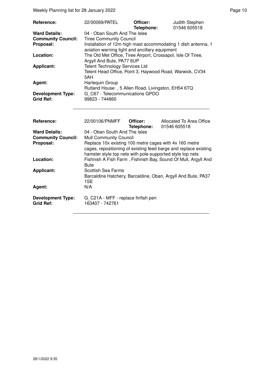| Reference:                                                     | 22/00069/PATEL                                                                                                                                                                                                                                                                                                                                                                              | Officer:<br>Telephone: | Judith Stephen<br>01546 605518           |  |
|----------------------------------------------------------------|---------------------------------------------------------------------------------------------------------------------------------------------------------------------------------------------------------------------------------------------------------------------------------------------------------------------------------------------------------------------------------------------|------------------------|------------------------------------------|--|
| <b>Ward Details:</b><br><b>Community Council:</b><br>Proposal: | 04 - Oban South And The Isles<br><b>Tiree Community Council</b><br>Installation of 12m high mast accommodating 1 dish antenna, 1<br>aviation warning light and ancillary equipment<br>The Old Met Office, Tiree Airport, Crossapol, Isle Of Tiree,<br>Argyll And Bute, PA77 6UP<br><b>Telent Technology Services Ltd</b><br>Telent Head Office, Point 3, Haywood Road, Warwick, CV34<br>5AH |                        |                                          |  |
| Location:<br><b>Applicant:</b>                                 |                                                                                                                                                                                                                                                                                                                                                                                             |                        |                                          |  |
| Agent:                                                         | Harlequin Group<br>Rutland House, 5 Allen Road, Livingston, EH54 6TQ                                                                                                                                                                                                                                                                                                                        |                        |                                          |  |
| <b>Development Type:</b><br><b>Grid Ref:</b>                   | G_C67 - Telecommunications GPDO<br>99823 - 744860                                                                                                                                                                                                                                                                                                                                           |                        |                                          |  |
| Reference:                                                     | 22/00106/PNMFF                                                                                                                                                                                                                                                                                                                                                                              | Officer:<br>Telephone: | Allocated To Area Office<br>01546 605518 |  |
| <b>Ward Details:</b><br><b>Community Council:</b><br>Proposal: | 04 - Oban South And The Isles<br><b>Mull Community Council</b><br>Replace 10x existing 100 metre cages with 4x 160 metre<br>cages, repositioning of existing feed barge and replace existing<br>hamster style top nets with pole-supported style top nets                                                                                                                                   |                        |                                          |  |
| Location:                                                      | Fishnish A Fish Farm, Fishnish Bay, Sound Of Mull, Argyll And<br><b>Bute</b><br><b>Scottish Sea Farms</b><br>Barcaldine Hatchery, Barcaldine, Oban, Argyll And Bute, PA37<br>1SE                                                                                                                                                                                                            |                        |                                          |  |
| <b>Applicant:</b>                                              |                                                                                                                                                                                                                                                                                                                                                                                             |                        |                                          |  |
| Agent:                                                         | N/A                                                                                                                                                                                                                                                                                                                                                                                         |                        |                                          |  |
| <b>Development Type:</b><br><b>Grid Ref:</b>                   | G C21A - MFF - replace finfish pen<br>163407 - 742761                                                                                                                                                                                                                                                                                                                                       |                        |                                          |  |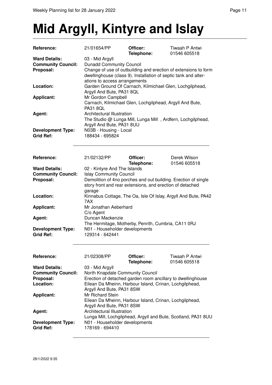# **Mid Argyll, Kintyre and Islay**

| Reference:                | 21/01654/PP                                                                                                                        | Officer:   | Tiwaah P Antwi                                                 |  |
|---------------------------|------------------------------------------------------------------------------------------------------------------------------------|------------|----------------------------------------------------------------|--|
|                           |                                                                                                                                    | Telephone: | 01546 605518                                                   |  |
| <b>Ward Details:</b>      | 03 - Mid Argyll                                                                                                                    |            |                                                                |  |
| <b>Community Council:</b> | <b>Dunadd Community Council</b>                                                                                                    |            |                                                                |  |
| Proposal:                 | Change of use of outbuilding and erection of extensions to form<br>dwellinghouse (class 9). Installation of septic tank and alter- |            |                                                                |  |
|                           |                                                                                                                                    |            |                                                                |  |
| Location:                 | ations to access arrangements                                                                                                      |            |                                                                |  |
|                           | Garden Ground Of Carnach, Kilmichael Glen, Lochgilphead,<br>Argyll And Bute, PA31 8QL                                              |            |                                                                |  |
| <b>Applicant:</b>         |                                                                                                                                    |            |                                                                |  |
|                           | Mr Gordon Campbell<br>Carnach, Kilmichael Glen, Lochgilphead, Argyll And Bute,                                                     |            |                                                                |  |
|                           | <b>PA31 8QL</b>                                                                                                                    |            |                                                                |  |
| Agent:                    | Architectural Illustration                                                                                                         |            |                                                                |  |
|                           | The Studio @ Lunga Mill, Lunga Mill, Ardfern, Lochgilphead,                                                                        |            |                                                                |  |
|                           | Argyll And Bute, PA31 8UU                                                                                                          |            |                                                                |  |
| <b>Development Type:</b>  | N03B - Housing - Local                                                                                                             |            |                                                                |  |
| <b>Grid Ref:</b>          | 188434 - 695824                                                                                                                    |            |                                                                |  |
|                           |                                                                                                                                    |            |                                                                |  |
|                           |                                                                                                                                    |            |                                                                |  |
|                           |                                                                                                                                    |            |                                                                |  |
| Reference:                | 21/02132/PP                                                                                                                        | Officer:   | Derek Wilson                                                   |  |
|                           |                                                                                                                                    | Telephone: | 01546 605518                                                   |  |
| <b>Ward Details:</b>      | 02 - Kintyre And The Islands                                                                                                       |            |                                                                |  |
| <b>Community Council:</b> | <b>Islay Community Council</b>                                                                                                     |            |                                                                |  |
| Proposal:                 |                                                                                                                                    |            | Demolition of 4no porches and out building. Erection of single |  |
|                           |                                                                                                                                    |            | story front and rear extensions, and erection of detached      |  |
|                           | garage                                                                                                                             |            |                                                                |  |
| Location:                 |                                                                                                                                    |            | Kinnabus Cottage, The Oa, Isle Of Islay, Argyll And Bute, PA42 |  |
|                           | 7AX                                                                                                                                |            |                                                                |  |
| <b>Applicant:</b>         | Mr Jonathan Aeberhard                                                                                                              |            |                                                                |  |
|                           | C/o Agent                                                                                                                          |            |                                                                |  |
| Agent:                    | Duncan Mackenzie                                                                                                                   |            |                                                                |  |
|                           | The Hermitage, Motherby, Penrith, Cumbria, CA11 0RJ                                                                                |            |                                                                |  |
| <b>Development Type:</b>  | N01 - Householder developments                                                                                                     |            |                                                                |  |
| <b>Grid Ref:</b>          | 129314 - 642441                                                                                                                    |            |                                                                |  |
|                           |                                                                                                                                    |            |                                                                |  |
|                           |                                                                                                                                    |            |                                                                |  |
| Reference:                | 21/02308/PP                                                                                                                        | Officer:   | Tiwaah P Antwi                                                 |  |
|                           |                                                                                                                                    | Telephone: | 01546 605518                                                   |  |
| <b>Ward Details:</b>      | 03 - Mid Argyll                                                                                                                    |            |                                                                |  |
| <b>Community Council:</b> | North Knapdale Community Council                                                                                                   |            |                                                                |  |
| Proposal:                 |                                                                                                                                    |            | Erection of detached garden room ancillary to dwellinghouse    |  |
| Location:                 |                                                                                                                                    |            | Eilean Da Mheinn, Harbour Island, Crinan, Lochgilphead,        |  |
|                           | Argyll And Bute, PA31 8SW                                                                                                          |            |                                                                |  |
| <b>Applicant:</b>         | Mr Richard Stein                                                                                                                   |            |                                                                |  |
|                           |                                                                                                                                    |            | Eilean Da Mheinn, Harbour Island, Crinan, Lochgilphead,        |  |
|                           | Argyll And Bute, PA31 8SW                                                                                                          |            |                                                                |  |
| Agent:                    | Architectural Illustration                                                                                                         |            |                                                                |  |
|                           |                                                                                                                                    |            | Lunga Mill, Lochgilphead, Argyll and Bute, Scotland, PA31 8UU  |  |
| <b>Development Type:</b>  | N01 - Householder developments                                                                                                     |            |                                                                |  |
| <b>Grid Ref:</b>          | 178169 - 694410                                                                                                                    |            |                                                                |  |
|                           |                                                                                                                                    |            |                                                                |  |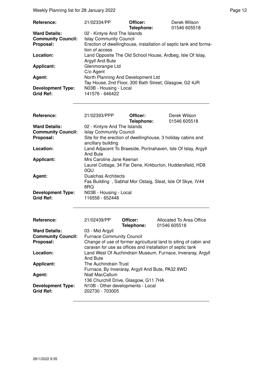Weekly Planning list for 28 January 2022 **Page 12** and the US and the Page 12

| <b>Reference:</b>         | 21/02334/PP                                                       | Officer:<br>Telephone: | Derek Wilson<br>01546 605518 |  |
|---------------------------|-------------------------------------------------------------------|------------------------|------------------------------|--|
| <b>Ward Details:</b>      | 02 - Kintyre And The Islands                                      |                        |                              |  |
| <b>Community Council:</b> | <b>Islay Community Council</b>                                    |                        |                              |  |
| Proposal:                 | Erection of dwellinghouse, installation of septic tank and forma- |                        |                              |  |
|                           | tion of access                                                    |                        |                              |  |
| Location:                 | Land Opposite The Old School House, Ardbeg, Isle Of Islay,        |                        |                              |  |
|                           | Argyll And Bute                                                   |                        |                              |  |
| <b>Applicant:</b>         | Glenmorangie Ltd                                                  |                        |                              |  |
|                           | $C/O$ Agent                                                       |                        |                              |  |
| Agent:                    | North Planning And Development Ltd                                |                        |                              |  |
|                           | Tay House, 2nd Floor, 300 Bath Street, Glasgow, G2 4JR            |                        |                              |  |
| <b>Development Type:</b>  | N03B - Housing - Local                                            |                        |                              |  |
| <b>Grid Ref:</b>          | 141576 - 646422                                                   |                        |                              |  |

| Reference:                                   | 21/02393/PPP                                                                           | Officer:   | Derek Wilson                                                 |  |
|----------------------------------------------|----------------------------------------------------------------------------------------|------------|--------------------------------------------------------------|--|
|                                              |                                                                                        | Telephone: | 01546 605518                                                 |  |
| <b>Ward Details:</b>                         | 02 - Kintyre And The Islands                                                           |            |                                                              |  |
| <b>Community Council:</b>                    | <b>Islay Community Council</b>                                                         |            |                                                              |  |
| Proposal:                                    |                                                                                        |            | Site for the erection of dwellinghouse, 3 holiday cabins and |  |
|                                              | ancillary building                                                                     |            |                                                              |  |
| Location:                                    | Land Adjacent To Braeside, Portnahaven, Isle Of Islay, Argyll<br><b>And Bute</b>       |            |                                                              |  |
|                                              |                                                                                        |            |                                                              |  |
| Applicant:                                   | Mrs Caroline Jane Keenan<br>Laurel Cottage, 34 Far Dene, Kirkburton, Huddersfield, HD8 |            |                                                              |  |
|                                              |                                                                                        |            |                                                              |  |
|                                              | 0QU                                                                                    |            |                                                              |  |
| Agent:                                       | <b>Dualchas Architects</b>                                                             |            |                                                              |  |
|                                              |                                                                                        |            | Fas Building, Sabhal Mor Ostaig, Sleat, Isle Of Skye, IV44   |  |
|                                              | 8RQ                                                                                    |            |                                                              |  |
| <b>Development Type:</b>                     | N03B - Housing - Local                                                                 |            |                                                              |  |
| <b>Grid Ref:</b>                             | 116558 - 652448                                                                        |            |                                                              |  |
|                                              |                                                                                        |            |                                                              |  |
|                                              |                                                                                        |            |                                                              |  |
| Reference:                                   | 21/02439/PP                                                                            | Officer:   | Allocated To Area Office                                     |  |
|                                              |                                                                                        | Telephone: | 01546 605518                                                 |  |
| <b>Ward Details:</b>                         | 03 - Mid Argyll                                                                        |            |                                                              |  |
| <b>Community Council:</b>                    | <b>Furnace Community Council</b>                                                       |            |                                                              |  |
| Proposal:                                    | Change of use of former agricultural land to siting of cabin and                       |            |                                                              |  |
|                                              |                                                                                        |            | caravan for use as offices and installation of septic tank   |  |
| Location:                                    |                                                                                        |            |                                                              |  |
|                                              |                                                                                        |            | Land West Of Auchindrain Museum, Furnace, Inveraray, Argyll  |  |
|                                              | And Bute                                                                               |            |                                                              |  |
| <b>Applicant:</b>                            | The Auchindrain Trust                                                                  |            |                                                              |  |
|                                              | Furnace, By Inveraray, Argyll And Bute, PA32 8WD                                       |            |                                                              |  |
| Agent:                                       | Niall MacCallum                                                                        |            |                                                              |  |
|                                              | 136 Churchill Drive, Glasgow, G11 7HA                                                  |            |                                                              |  |
| <b>Development Type:</b><br><b>Grid Ref:</b> | N10B - Other developments - Local<br>202730 - 703005                                   |            |                                                              |  |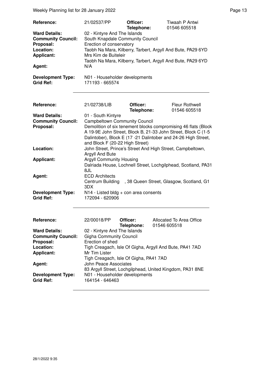Weekly Planning list for 28 January 2022 **Page 13** Page 13

| Reference:<br><b>Ward Details:</b><br><b>Community Council:</b><br>Proposal:<br>Location:<br><b>Applicant:</b><br>Agent:<br><b>Development Type:</b><br><b>Grid Ref:</b> | 21/02537/PP<br>02 - Kintyre And The Islands<br>South Knapdale Community Council<br>Erection of conservatory<br>Mrs Kim de Buiteleir<br>N/A<br>N01 - Householder developments<br>171193 - 665574                                                                                                                                  | Officer:<br>Telephone: | Tiwaah P Antwi<br>01546 605518<br>Taobh Na Mara, Kilberry, Tarbert, Argyll And Bute, PA29 6YD<br>Taobh Na Mara, Kilberry, Tarbert, Argyll And Bute, PA29 6YD |
|--------------------------------------------------------------------------------------------------------------------------------------------------------------------------|----------------------------------------------------------------------------------------------------------------------------------------------------------------------------------------------------------------------------------------------------------------------------------------------------------------------------------|------------------------|--------------------------------------------------------------------------------------------------------------------------------------------------------------|
| Reference:                                                                                                                                                               | 21/02738/LIB                                                                                                                                                                                                                                                                                                                     | Officer:               | Fleur Rothwell                                                                                                                                               |
| <b>Ward Details:</b><br><b>Community Council:</b><br>Proposal:                                                                                                           | Telephone:<br>01546 605518<br>01 - South Kintyre<br><b>Campbeltown Community Council</b><br>Demolition of six tenement blocks compromising 46 flats (Block<br>A 19-9E John Street, Block B, 21-33 John Street, Block C (1-5<br>Dalintober), Block E (17 -21 Dalintober and 24-26 High Street,<br>and Block F (20-22 High Street) |                        |                                                                                                                                                              |
| Location:                                                                                                                                                                | Argyll And Bute                                                                                                                                                                                                                                                                                                                  |                        | John Street, Prince's Street And High Street, Campbeltown,                                                                                                   |
| <b>Applicant:</b>                                                                                                                                                        | <b>Argyll Community Housing</b><br>Dalriada House, Lochnell Street, Lochgilphead, Scotland, PA31<br>8JL                                                                                                                                                                                                                          |                        |                                                                                                                                                              |
| Agent:                                                                                                                                                                   | <b>ECD Architects</b><br>Centrum Building<br>, 38 Queen Street, Glasgow, Scotland, G1<br>3DX                                                                                                                                                                                                                                     |                        |                                                                                                                                                              |
| <b>Development Type:</b><br><b>Grid Ref:</b>                                                                                                                             | $N14$ - Listed bldg + con area consents<br>172094 - 620906                                                                                                                                                                                                                                                                       |                        |                                                                                                                                                              |
| Reference:                                                                                                                                                               | 22/00018/PP                                                                                                                                                                                                                                                                                                                      | Officer:<br>Telephone: | Allocated To Area Office<br>01546 605518                                                                                                                     |
| <b>Ward Details:</b><br><b>Community Council:</b><br>Proposal:<br>Location:<br><b>Applicant:</b><br>Agent:<br><b>Development Type:</b><br><b>Grid Ref:</b>               | 02 - Kintyre And The Islands<br><b>Gigha Community Council</b><br>Erection of shed<br>Tigh Creagach, Isle Of Gigha, Argyll And Bute, PA41 7AD<br>Mr Tim Lister<br>Tigh Creagach, Isle Of Gigha, PA41 7AD<br><b>John Peace Associates</b><br>N01 - Householder developments<br>164154 - 646463                                    |                        | 83 Argyll Street, Lochgilphead, United Kingdom, PA31 8NE                                                                                                     |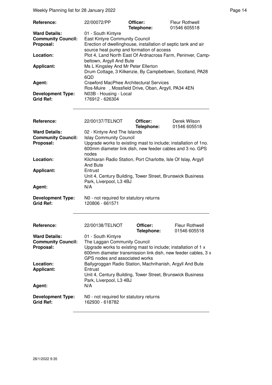Weekly Planning list for 28 January 2022 **Page 14** and the US of the Page 14

| Reference:                                   | 22/00072/PP                                                                                                | Officer:<br>Telephone: | <b>Fleur Rothwell</b><br>01546 605518 |
|----------------------------------------------|------------------------------------------------------------------------------------------------------------|------------------------|---------------------------------------|
| <b>Ward Details:</b>                         | 01 - South Kintyre                                                                                         |                        |                                       |
| <b>Community Council:</b>                    | <b>East Kintyre Community Council</b>                                                                      |                        |                                       |
| Proposal:                                    | Erection of dwellinghouse, installation of septic tank and air<br>source heat pump and formation of access |                        |                                       |
| Location:                                    | Plot 4, Land North East Of Ardnacross Farm, Peninver, Camp-<br>beltown, Argyll And Bute                    |                        |                                       |
| <b>Applicant:</b>                            | Ms L Kingsley And Mr Peter Ellerton<br>Drum Cottage, 3 Kilkenzie, By Campbeltown, Scotland, PA28<br>6QD    |                        |                                       |
| Agent:                                       | Crawford MacPhee Architectural Services<br>Ros-Muire, Mossfield Drive, Oban, Argyll, PA34 4EN              |                        |                                       |
| <b>Development Type:</b><br><b>Grid Ref:</b> | N03B - Housing - Local<br>176912 - 626304                                                                  |                        |                                       |

| Reference:                | 22/00137/TELNOT                                                       | Officer:<br>Telephone: | Derek Wilson<br>01546 605518 |  |
|---------------------------|-----------------------------------------------------------------------|------------------------|------------------------------|--|
| <b>Ward Details:</b>      | 02 - Kintyre And The Islands                                          |                        |                              |  |
| <b>Community Council:</b> | <b>Islay Community Council</b>                                        |                        |                              |  |
| Proposal:                 | Upgrade works to existing mast to include; installation of 1no.       |                        |                              |  |
|                           | 600mm diameter link dish, new feeder cables and 3 no. GPS             |                        |                              |  |
|                           | nodes                                                                 |                        |                              |  |
| Location:                 | Kilchiaran Radio Station, Port Charlotte, Isle Of Islay, Argyll       |                        |                              |  |
|                           | <b>And Bute</b>                                                       |                        |                              |  |
| <b>Applicant:</b>         | Entrust<br>Unit 4, Century Building, Tower Street, Brunswick Business |                        |                              |  |
|                           |                                                                       |                        |                              |  |
|                           | Park, Liverpool, L3 4BJ                                               |                        |                              |  |
| Agent:                    | N/A                                                                   |                        |                              |  |
|                           |                                                                       |                        |                              |  |
| <b>Development Type:</b>  | N0 - not required for statutory returns                               |                        |                              |  |
| <b>Grid Ref:</b>          | 120806 - 661571                                                       |                        |                              |  |
|                           |                                                                       |                        |                              |  |
|                           |                                                                       |                        |                              |  |
| Reference:                | 22/00138/TELNOT                                                       | Officer:               | <b>Fleur Rothwell</b>        |  |
|                           |                                                                       | Telephone:             | 01546 605518                 |  |
| <b>Ward Details:</b>      | 01 - South Kintyre                                                    |                        |                              |  |
| <b>Community Council:</b> | The Laggan Community Council                                          |                        |                              |  |
| Proposal:                 | Upgrade works to existing mast to include; installation of 1 x        |                        |                              |  |
|                           | 600mm diameter transmission link dish, new feeder cables, 3 x         |                        |                              |  |
|                           | GPS nodes and associated works                                        |                        |                              |  |
| Location:                 | Ballygroggan Radio Station, Machrihanish, Argyll And Bute             |                        |                              |  |
| <b>Applicant:</b>         | Entrust                                                               |                        |                              |  |
|                           | Unit 4, Century Building, Tower Street, Brunswick Business            |                        |                              |  |
|                           | Park, Liverpool, L3 4BJ                                               |                        |                              |  |
|                           | N/A                                                                   |                        |                              |  |
| Agent:                    |                                                                       |                        |                              |  |
| <b>Development Type:</b>  | N0 - not required for statutory returns                               |                        |                              |  |
| <b>Grid Ref:</b>          | 162930 - 618782                                                       |                        |                              |  |
|                           |                                                                       |                        |                              |  |